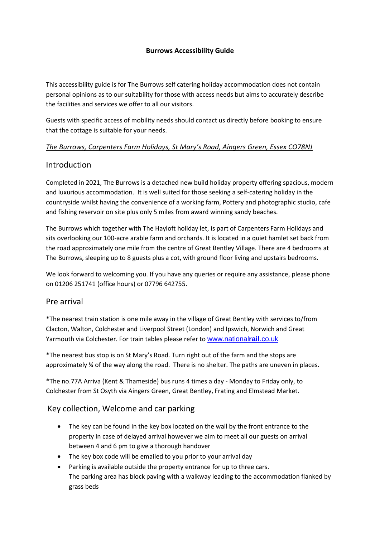#### **Burrows Accessibility Guide**

This accessibility guide is for The Burrows self catering holiday accommodation does not contain personal opinions as to our suitability for those with access needs but aims to accurately describe the facilities and services we offer to all our visitors.

Guests with specific access of mobility needs should contact us directly before booking to ensure that the cottage is suitable for your needs.

#### *The Burrows, Carpenters Farm Holidays, St Mary's Road, Aingers Green, Essex CO78NJ*

#### **Introduction**

Completed in 2021, The Burrows is a detached new build holiday property offering spacious, modern and luxurious accommodation. It is well suited for those seeking a self-catering holiday in the countryside whilst having the convenience of a working farm, Pottery and photographic studio, cafe and fishing reservoir on site plus only 5 miles from award winning sandy beaches.

The Burrows which together with The Hayloft holiday let, is part of Carpenters Farm Holidays and sits overlooking our 100-acre arable farm and orchards. It is located in a quiet hamlet set back from the road approximately one mile from the centre of Great Bentley Village. There are 4 bedrooms at The Burrows, sleeping up to 8 guests plus a cot, with ground floor living and upstairs bedrooms.

We look forward to welcoming you. If you have any queries or require any assistance, please phone on 01206 251741 (office hours) or 07796 642755.

#### Pre arrival

\*The nearest train station is one mile away in the village of Great Bentley with services to/from Clacton, Walton, Colchester and Liverpool Street (London) and Ipswich, Norwich and Great Yarmouth via Colchester. For train tables please refer to [www.national](http://www.nationalrail.co.uk/)**rail**.co.uk

\*The nearest bus stop is on St Mary's Road. Turn right out of the farm and the stops are approximately ¾ of the way along the road. There is no shelter. The paths are uneven in places.

\*The no.77A Arriva (Kent & Thameside) bus runs 4 times a day - Monday to Friday only, to Colchester from St Osyth via Aingers Green, Great Bentley, Frating and Elmstead Market.

## Key collection, Welcome and car parking

- The key can be found in the key box located on the wall by the front entrance to the property in case of delayed arrival however we aim to meet all our guests on arrival between 4 and 6 pm to give a thorough handover
- The key box code will be emailed to you prior to your arrival day
- Parking is available outside the property entrance for up to three cars. The parking area has block paving with a walkway leading to the accommodation flanked by grass beds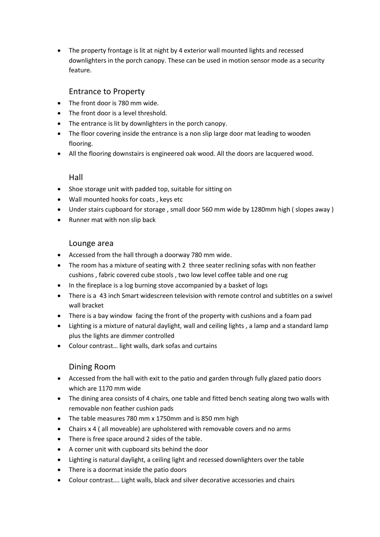• The property frontage is lit at night by 4 exterior wall mounted lights and recessed downlighters in the porch canopy. These can be used in motion sensor mode as a security feature.

# Entrance to Property

- The front door is 780 mm wide.
- The front door is a level threshold.
- The entrance is lit by downlighters in the porch canopy.
- The floor covering inside the entrance is a non slip large door mat leading to wooden flooring.
- All the flooring downstairs is engineered oak wood. All the doors are lacquered wood.

### Hall

- Shoe storage unit with padded top, suitable for sitting on
- Wall mounted hooks for coats , keys etc
- Under stairs cupboard for storage , small door 560 mm wide by 1280mm high ( slopes away )
- Runner mat with non slip back

### Lounge area

- Accessed from the hall through a doorway 780 mm wide.
- The room has a mixture of seating with 2 three seater reclining sofas with non feather cushions , fabric covered cube stools , two low level coffee table and one rug
- In the fireplace is a log burning stove accompanied by a basket of logs
- There is a 43 inch Smart widescreen television with remote control and subtitles on a swivel wall bracket
- There is a bay window facing the front of the property with cushions and a foam pad
- Lighting is a mixture of natural daylight, wall and ceiling lights , a lamp and a standard lamp plus the lights are dimmer controlled
- Colour contrast… light walls, dark sofas and curtains

## Dining Room

- Accessed from the hall with exit to the patio and garden through fully glazed patio doors which are 1170 mm wide
- The dining area consists of 4 chairs, one table and fitted bench seating along two walls with removable non feather cushion pads
- The table measures 780 mm x 1750mm and is 850 mm high
- Chairs x 4 ( all moveable) are upholstered with removable covers and no arms
- There is free space around 2 sides of the table.
- A corner unit with cupboard sits behind the door
- Lighting is natural daylight, a ceiling light and recessed downlighters over the table
- There is a doormat inside the patio doors
- Colour contrast…. Light walls, black and silver decorative accessories and chairs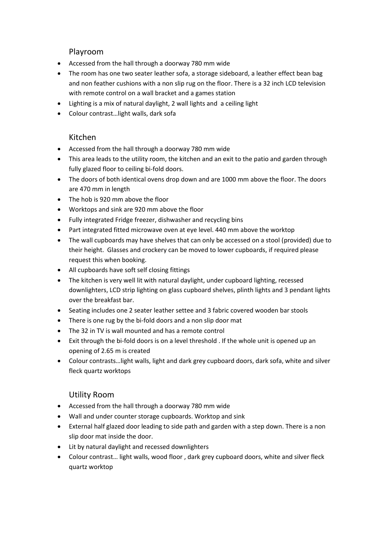### Playroom

- Accessed from the hall through a doorway 780 mm wide
- The room has one two seater leather sofa, a storage sideboard, a leather effect bean bag and non feather cushions with a non slip rug on the floor. There is a 32 inch LCD television with remote control on a wall bracket and a games station
- Lighting is a mix of natural daylight, 2 wall lights and a ceiling light
- Colour contrast…light walls, dark sofa

### Kitchen

- Accessed from the hall through a doorway 780 mm wide
- This area leads to the utility room, the kitchen and an exit to the patio and garden through fully glazed floor to ceiling bi-fold doors.
- The doors of both identical ovens drop down and are 1000 mm above the floor. The doors are 470 mm in length
- The hob is 920 mm above the floor
- Worktops and sink are 920 mm above the floor
- Fully integrated Fridge freezer, dishwasher and recycling bins
- Part integrated fitted microwave oven at eye level. 440 mm above the worktop
- The wall cupboards may have shelves that can only be accessed on a stool (provided) due to their height. Glasses and crockery can be moved to lower cupboards, if required please request this when booking.
- All cupboards have soft self closing fittings
- The kitchen is very well lit with natural daylight, under cupboard lighting, recessed downlighters, LCD strip lighting on glass cupboard shelves, plinth lights and 3 pendant lights over the breakfast bar.
- Seating includes one 2 seater leather settee and 3 fabric covered wooden bar stools
- There is one rug by the bi-fold doors and a non slip door mat
- The 32 in TV is wall mounted and has a remote control
- Exit through the bi-fold doors is on a level threshold . If the whole unit is opened up an opening of 2.65 m is created
- Colour contrasts…light walls, light and dark grey cupboard doors, dark sofa, white and silver fleck quartz worktops

## Utility Room

- Accessed from the hall through a doorway 780 mm wide
- Wall and under counter storage cupboards. Worktop and sink
- External half glazed door leading to side path and garden with a step down. There is a non slip door mat inside the door.
- Lit by natural daylight and recessed downlighters
- Colour contrast… light walls, wood floor , dark grey cupboard doors, white and silver fleck quartz worktop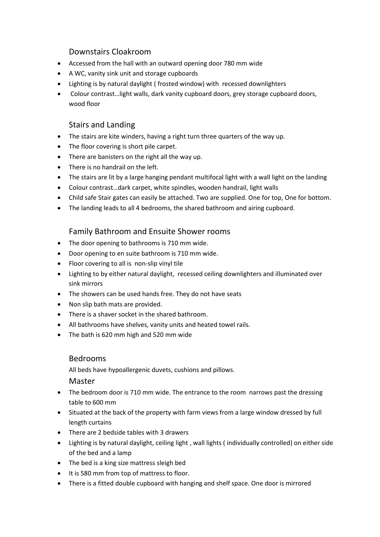## Downstairs Cloakroom

- Accessed from the hall with an outward opening door 780 mm wide
- A WC, vanity sink unit and storage cupboards
- Lighting is by natural daylight ( frosted window) with recessed downlighters
- Colour contrast…light walls, dark vanity cupboard doors, grey storage cupboard doors, wood floor

## Stairs and Landing

- The stairs are kite winders, having a right turn three quarters of the way up.
- The floor covering is short pile carpet.
- There are banisters on the right all the way up.
- There is no handrail on the left.
- The stairs are lit by a large hanging pendant multifocal light with a wall light on the landing
- Colour contrast…dark carpet, white spindles, wooden handrail, light walls
- Child safe Stair gates can easily be attached. Two are supplied. One for top, One for bottom.
- The landing leads to all 4 bedrooms, the shared bathroom and airing cupboard.

### Family Bathroom and Ensuite Shower rooms

- The door opening to bathrooms is 710 mm wide.
- Door opening to en suite bathroom is 710 mm wide.
- Floor covering to all is non-slip vinyl tile
- Lighting to by either natural daylight, recessed ceiling downlighters and illuminated over sink mirrors
- The showers can be used hands free. They do not have seats
- Non slip bath mats are provided.
- There is a shaver socket in the shared bathroom.
- All bathrooms have shelves, vanity units and heated towel rails.
- The bath is 620 mm high and 520 mm wide

#### Bedrooms

All beds have hypoallergenic duvets, cushions and pillows.

#### Master

- The bedroom door is 710 mm wide. The entrance to the room narrows past the dressing table to 600 mm
- Situated at the back of the property with farm views from a large window dressed by full length curtains
- There are 2 bedside tables with 3 drawers
- Lighting is by natural daylight, ceiling light , wall lights ( individually controlled) on either side of the bed and a lamp
- The bed is a king size mattress sleigh bed
- It is 580 mm from top of mattress to floor.
- There is a fitted double cupboard with hanging and shelf space. One door is mirrored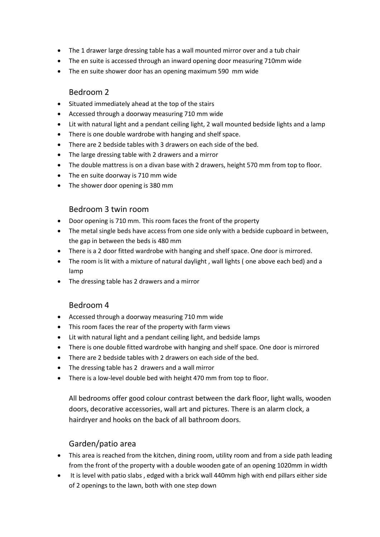- The 1 drawer large dressing table has a wall mounted mirror over and a tub chair
- The en suite is accessed through an inward opening door measuring 710mm wide
- The en suite shower door has an opening maximum 590 mm wide

### Bedroom 2

- Situated immediately ahead at the top of the stairs
- Accessed through a doorway measuring 710 mm wide
- Lit with natural light and a pendant ceiling light, 2 wall mounted bedside lights and a lamp
- There is one double wardrobe with hanging and shelf space.
- There are 2 bedside tables with 3 drawers on each side of the bed.
- The large dressing table with 2 drawers and a mirror
- The double mattress is on a divan base with 2 drawers, height 570 mm from top to floor.
- The en suite doorway is 710 mm wide
- The shower door opening is 380 mm

### Bedroom 3 twin room

- Door opening is 710 mm. This room faces the front of the property
- The metal single beds have access from one side only with a bedside cupboard in between, the gap in between the beds is 480 mm
- There is a 2 door fitted wardrobe with hanging and shelf space. One door is mirrored.
- The room is lit with a mixture of natural daylight , wall lights ( one above each bed) and a lamp
- The dressing table has 2 drawers and a mirror

## Bedroom 4

- Accessed through a doorway measuring 710 mm wide
- This room faces the rear of the property with farm views
- Lit with natural light and a pendant ceiling light, and bedside lamps
- There is one double fitted wardrobe with hanging and shelf space. One door is mirrored
- There are 2 bedside tables with 2 drawers on each side of the bed.
- The dressing table has 2 drawers and a wall mirror
- There is a low-level double bed with height 470 mm from top to floor.

All bedrooms offer good colour contrast between the dark floor, light walls, wooden doors, decorative accessories, wall art and pictures. There is an alarm clock, a hairdryer and hooks on the back of all bathroom doors.

# Garden/patio area

- This area is reached from the kitchen, dining room, utility room and from a side path leading from the front of the property with a double wooden gate of an opening 1020mm in width
- It is level with patio slabs , edged with a brick wall 440mm high with end pillars either side of 2 openings to the lawn, both with one step down